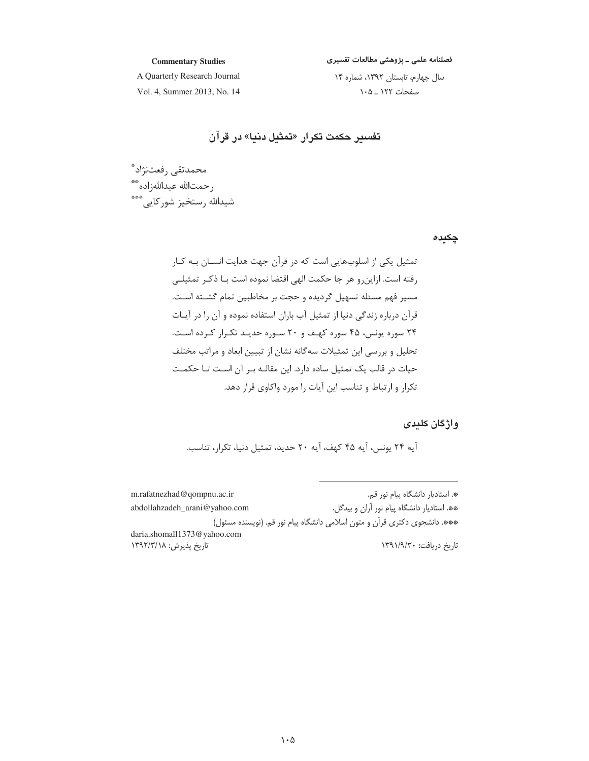فصلنامه علمی ــ پژوهشی مطالعات تفسیری

**Commentary Studies**

A Quarterly Research Journal Vol. 4, Summer 2013, No. 14 سال چهارم، تابستان ۱۳۹۲، شماره ۱۴ صفحات ۱۲۲ \_ ۰۵ /

**ت**فسیر حکمت تکرار «تمثیل دنیا» در قران

محمدتقي رفعتنژاد ٌ رحمتالله عبداللهزاده\*\* شیدالله رستخیز شورکایی\*\*\*

**چکیدہ** 

تمثیل یکی از اسلوبهایی است که در قرآن جهت هدایت انســان بــه کــار رفته است. ازاینرو هر جا حکمت الهی اقتضا نموده است بـا ذکـر تمثیلـی مسیر فهم مسئله تسهیل گردیده و حجت بر مخاطبین تمام گشـته اسـت. قرآن درباره زندگی دنیا از تمثیل آب باران استفاده نموده و آن را در آیـات ۲۴ سوره یونس، ۴۵ سوره کهـف و ۲۰ سـوره حدیـد تکـرار کـرده اسـت. تحلیل و بررسی این تمثیلات سهگانه نشان از تبیین ابعاد و مراتب مختلف حیات در قالب یک تمثیل ساده دارد. این مقالـه بـر آن اسـت تـا حکمـت تکرار و ارتباط و تناسب این آیات را مورد واکاوی قرار دهد.

**واژگان کلیدی** 

أيه ٢۴ يونس، أيه ۴۵ كهف، أيه ٢٠ حديد، تمثيل دنيا، تكرار، تناسب.

m.rafatnezhad@qompnu.ac.ir-\*. استاديار دانشگاه پيام نور قم. abdollahzadeh\_arani@yahoo.com-\*\* استاديار دانشگاه پيام نور آران و بيدگل. \*\*\*. دانشجوی دکتری قرآن و متون اسلامی دانشگاه پیام نور قم. (نویسنده مسئول) daria.shomall1373@yahoo.com تاریخ پذیرش: ۱۳۹۲/۳/۱۸ اریخ دریافت: ۱۳۹۱/۹/۳۰ N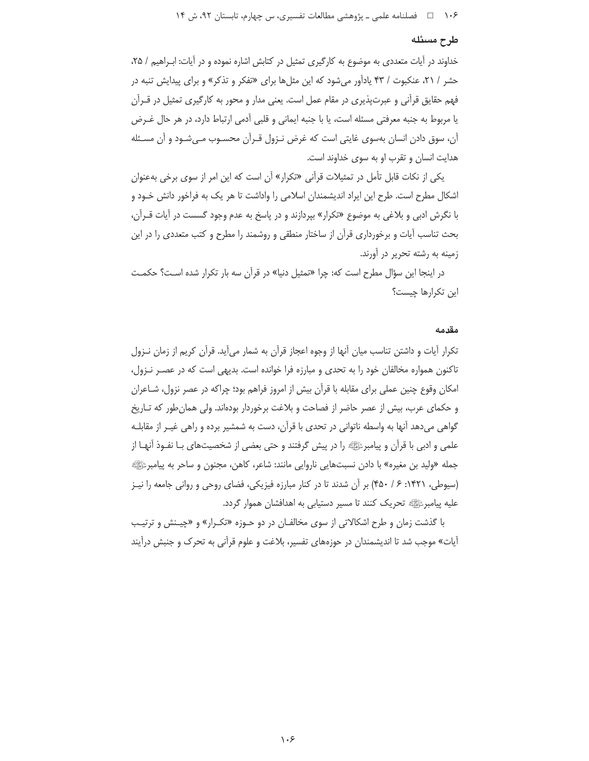#### طرح مسئله

خداوند در آیات متعددی به موضوع به کارگیری تمثیل در کتابش اشاره نموده و در آیات: ابـراهیم / ۲۵، حشر / ۲۱، عنکبوت / ۴۳ یادآور میشود که این مثلها برای «تفکر و تذکر» و برای پیدایش تنبه در فهم حقایق قرأنی و عبرتپذیری در مقام عمل است. یعنی مدار و محور به کارگیری تمثیل در قــرأن یا مربوط به جنبه معرفتی مسئله است، یا با جنبه ایمانی و قلبی آدمی ارتباط دارد، در هر حال غـرض آن، سوق دادن انسان بهسوی غایتی است که غرض نـزول قـرآن محسـوب مـیشـود و آن مسـئله هدایت انسان و تقرب او به سوی خداوند است.

یکی از نکات قابل تأمل در تمثیلات قرآنی «تکرار» آن است که این امر از سوی برخی بهعنوان اشکال مطرح است. طرح این ایراد اندیشمندان اسلامی را واداشت تا هر یک به فراخور دانش خـود و با نگرش ادبی و بلاغی به موضوع «تکرار» بپردازند و در پاسخ به عدم وجود گسست در أيات قــرأن، بحث تناسب آیات و برخورداری قرآن از ساختار منطقی و روشمند را مطرح و کتب متعددی را در این زمینه به رشته تحریر در آورند.

در اینجا این سؤال مطرح است که: چرا «تمثیل دنیا» در قرآن سه بار تکرار شده است؟ حکمت این تکرارها چیست؟

#### مقدمه

تكرار آيات و داشتن تناسب ميان آنها از وجوه اعجاز قرآن به شمار مي آيد. قرآن كريم از زمان نــزول تاکنون همواره مخالفان خود را به تحدی و مبارزه فرا خوانده است. بدیهی است که در عصـر نـزول، امکان وقوع چنین عملی برای مقابله با قرآن بیش از امروز فراهم بود؛ چراکه در عصر نزول، شـاعران و حکمای عرب، بیش از عصر حاضر از فصاحت و بلاغت برخوردار بودهاند. ولی همان طور که تـاریخ گواهی میدهد آنها به واسطه ناتوانی در تحدی با قرآن، دست به شمشیر برده و راهی غیـر از مقابلـه علمي و ادبي با قرآن و پيامبرﷺ را در پيش گرفتند و حتى بعضي از شخصيتهاي بـا نفـوذ آنهـا از جمله «وليد بن مغيره» با دادن نسبتهايي ناروايي مانند: شاعر، كاهن، مجنون و ساحر به پيامبرﷺ (سیوطی، ۱۴۲۱: ۶/ ۴۵۰) بر آن شدند تا در کنار مبارزه فیزیکی، فضای روحی و روانی جامعه را نیـز عليه پيامبرﷺ تحريک کنند تا مسير دستيابي به اهدافشان هموار گردد.

با گذشت زمان و طرح اشکالاتی از سوی مخالفـان در دو حـوزه «تکـرار» و «چیـنش و ترتیـب آیات» موجب شد تا اندیشمندان در حوزههای تفسیر، بلاغت و علوم قرآنی به تحرک و جنبش درآیند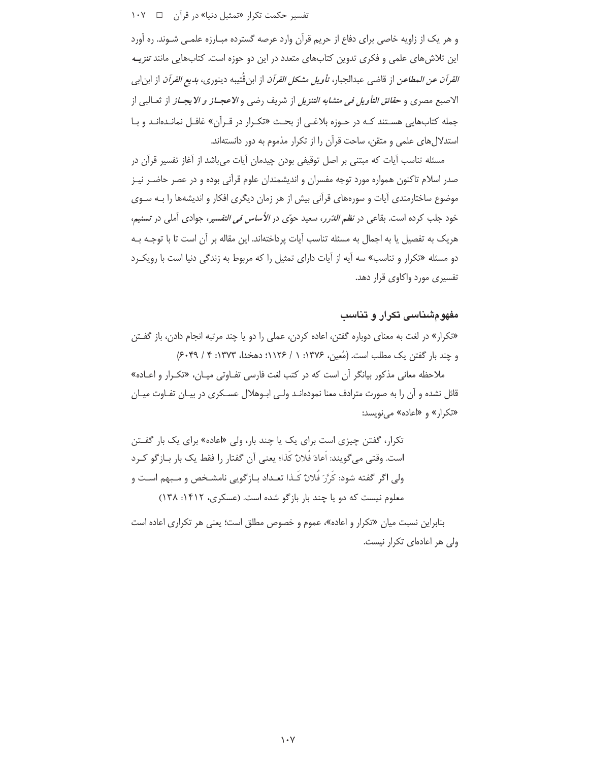تفسیر حکمت تکرار «تمثیل دنیا» در قرآن د ۱۰۷

و هر یک از زاویه خاصی برای دفاع از حریم قرآن وارد عرصه گسترده مبـارزه علمـی شـوند. ره آورد این تلاش های علمی و فکری تدوین کتابهای متعدد در این دو حوزه است. کتابهایی مانند تنزیـه *القرآن عن المطاعن* از قاضي عبدالجبار، *تأويل مشكل القرآن* از ابن قُتيبه دينوري، *بديع القرآن* از ابن|بي الاصبع مصري و ح*قائق التأويل في متشابه التنزيل* از شريف رضي و *الاعجــاز و الايجــاز* از ثعــالبي از جمله کتابهایی هستند کـه در حـوزه بلاغـی از بحـث «تکـرار در قـرآن» غافـل نمانـدهانـد و بـا استدلال های علمی و متقن، ساحت قرآن را از تکرار مذموم به دور دانستهاند.

مسئله تناسب آيات كه مبتنى بر اصل توقيفى بودن چيدمان آيات مىباشد از آغاز تفسير قرآن در صدر اسلام تاکنون همواره مورد توجه مفسران و اندیشمندان علوم قرآنی بوده و در عصر حاضـر نیـز موضوع ساختارمندی آیات و سورههای قرآنی بیش از هر زمان دیگری افکار و اندیشهها را بـه سـوی خود جلب کرده است. بقاعی در *نظم الدّرر*، سعید حوّی در *الأساس فی التفسیر*، جوادی آملی در تسنیم، هريک به تفصيل يا به اجمال به مسئله تناسب آيات پرداختهاند. اين مقاله بر آن است تا با توجـه بـه دو مسئله «تكرار و تناسب» سه آيه از آيات داراي تمثيل را كه مربوط به زندگي دنيا است با رويكرد تفسیری مورد واکاوی قرار دهد.

### مفهو مشناسی تکرار و تناسب

«تكرار» در لغت به معناى دوباره گفتن، اعاده كردن، عملى را دو يا چند مرتبه انجام دادن، باز گفـتن و چند بار گفتن یک مطلب است. (مُعین، ۱۳۷۶: ۱ / ۱۱۲۶: دهخدا، ۱۳۷۳: ۴ / ۶۰۴۹)

ملاحظه معانی مذکور بیانگر آن است که در کتب لغت فارسی تفـاوتی میـان، «تکـرار و اعـاده» قائل نشده و آن را به صورت مترادف معنا نمودهانـد ولـي ابــوهلال عســكري در بيــان تفــاوت ميــان «تکرار» و «اعاده» می نویسد:

تکرار، گفتن چیزی است برای یک یا چند بار، ولی «اعاده» برای یک بار گفـتن است. وقتي مي گويند: اُعادَ فَلانٌ كَذا؛ يعني آن گفتار را فقط يک بار بــازگو كــرد ولي اگر گفته شود: كَرَّرَ فُلانٌ كَـذا تعـداد بـازگويي نامشـخص و مـبهم اسـت و معلوم نیست که دو یا چند بار بازگو شده است. (عسکری، ۱۴۱۲: ۱۳۸)

بنابراین نسبت میان «تکرار و اعاده»، عموم و خصوص مطلق است؛ یعنی هر تکراری اعاده است ولی هر اعادهای تکرار نیست.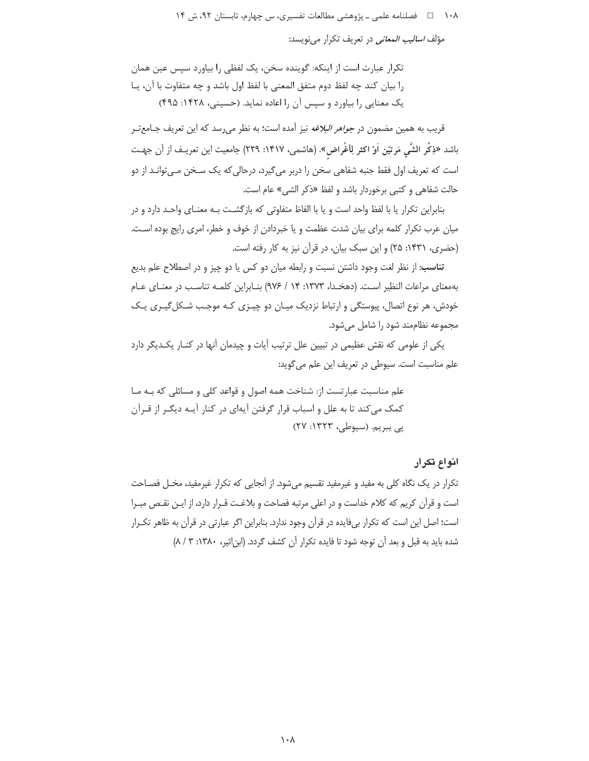مؤلف *اسالیب المعانی* در تعریف تکرار می نویسد:

تکرار عبارت است از اینکه: گوینده سخن، یک لفظی را بیاورد سیس عین همان را بيان كند چه لفظ دوم متفق المعنى با لفظ اول باشد و چه متفاوت با آن، يا یک معنایی را بیاورد و سپس آن را اعاده نماید. (حسینی، ۱۴۲۸: ۴۹۵)

قریب به همین مضمون در *جواهر البلاغه* نیز آمده است؛ به نظر میرسد که این تعریف جـامع ّتـر باشد «ذِكُر الشَّي مَرتيّن اَوْ اكثر لِأغْراض». (هاشمي، ١۴١٧: ٢٢٩) جامعيت اين تعريـف از آن جهـت است که تعریف اول فقط جنبه شفاهی سخن را دربر میگیرد، درحالی که یک سـخن مـیتوانـد از دو حالت شفاهي و كتبي برخوردار باشد و لفظ «ذكر الشي» عام است.

بنابراین تکرار یا با لفظ واحد است و یا با الفاظ متفاوتی که بازگشـت بـه معنـای واحـد دارد و در میان عرب تکرار کلمه برای بیان شدت عظمت و یا خبردادن از خوف و خطر، امری رایج بوده است. (حضری، ۱۴۳۱: ۲۵) و این سبک بیان، در قرآن نیز به کار رفته است.

**تناسب:** از نظر لغت وجود داشتن نسبت و رابطه میان دو کس یا دو چیز و در اصطلاح علم بدیع بهمعنای مراعات النظیر است. (دهخدا، ۱۳۷۳: ۱۴ / ۹۷۶) بنابراین کلمه تناسب در معنای عام خودش، هر نوع اتصال، پیوستگی و ارتباط نزدیک میـان دو چیـزی کـه موجـب شـکل5یـری یـک مجموعه نظاممند شود را شامل می شود.

یکی از علومی که نقش عظیمی در تبیین علل ترتیب آیات و چیدمان آنها در کنـار یکـدیگر دارد علم مناسبت است. سیوطی در تعریف این علم می گوید:

علم مناسبت عبارتست از: شناخت همه اصول و قواعد كلي و مسائلي كه بـه مـا کمک می کند تا به علل و اسباب قرار گرفتن آیهای در کنار آیـه دیگـر از قـرآن پی ببریم. (سیوطی، ۱۳۲۳: ۲۷)

### انواع تكرار

تکرار در یک نگاه کلی به مفید و غیرمفید تقسیم میشود. از آنجایی که تکرار غیرمفید، مخـل فصـاحت است و قرآن كريم كه كلام خداست و در اعلى مرتبه فصاحت و بلاغت قـرار دارد، از ايـن نقـص مبـرا است؛ اصل این است که تکرار بیفایده در قرآن وجود ندارد. بنابراین اگر عبارتی در قرآن به ظاهر تکـرار شده باید به قبل و بعد آن توجه شود تا فایده تکرار آن کشف گردد. (ابن اثیر، ۱۳۸۰: ۳ / ۸)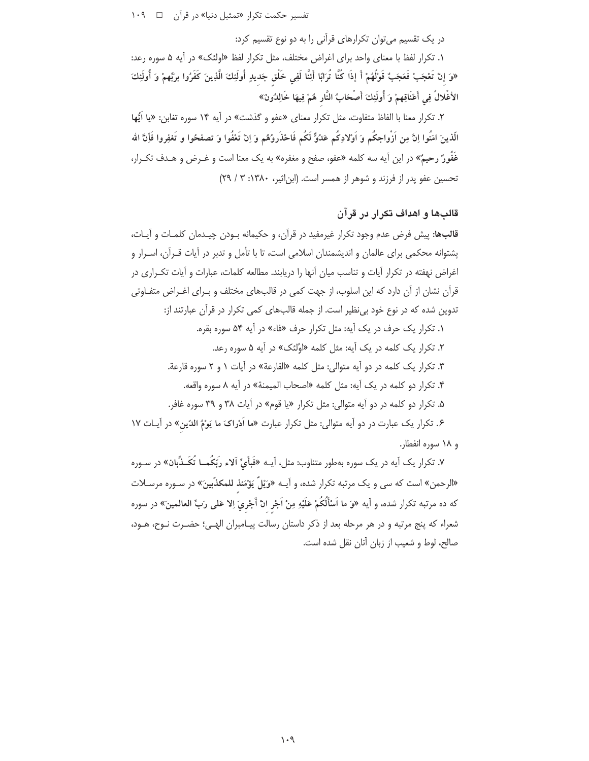تفسیر حکمت تکرار «تمثیل دنیا» در قرآن [ 109

در یک تقسیم می توان تکرارهای قرآنی را به دو نوع تقسیم کرد:

۱. تكرار لفظ با معناى واحد براى اغراض مختلف، مثل تكرار لفظ «اولئك» در آيه ۵ سوره رعد: «وَ إنْ تَعْجَبْ فَعَجَبٌ قَوْلُهُمْ أَ إذَا كُنَّا تُرَابًا أَنِنَّا لَفِي خَلْقٍ جَديدٍ أُولَئِكَ الَّذِينَ كَفَرُوا بربِّهمْ وَ أُولَئِكَ الأغْلالُ فِي أَعْنَاقِهِمْ وَ أُولَئِكَ أَصْحَابُ النَّارِ هُمْ فِيهَا خَالِدُونَ»

۲. تكرار معنا با الفاظ متفاوت، مثل تكرار معناي «عفو و گذشت» در آيه ۱۴ سوره تغابن: «يا ايُّها الّذينَ امَنُوا اِنَّ مِن اَزْواجكُم وَ اَوْلادِكُم عَدُوٌّ لَكُم فَاحْذَروُهُم وَ اِنْ تَعْفُوا وَ تصفحُوا و تَغفِروا فَأِنَّ الله غَفُورٌ رحيمٌ» در اين آيه سه كلمه «عفو، صفح و مغفره» به يک معنا است و غـرض و هـدف تكـرار، تحسین عفو پدر از فرزند و شوهر از همسر است. (ابن اثیر، ۱۳۸۰: ۳ / ۲۹)

# قالبها و اهداف تکرار در قرآن

**قالبِها:** پیش فرض عدم وجود تکرار غیرمفید در قرآن، و حکیمانه بـودن چیـدمان کلمـات و آیـات، یشتوانه محکمی برای عالمان و اندیشمندان اسلامی است، تا با تأمل و تدبر در آیات قــرآن، اســرار و اغراض نهفته در تكرار آيات و تناسب ميان آنها را دريابند. مطالعه كلمات، عبارات و آيات تكـراري در قرآن نشان از آن دارد که این اسلوب، از جهت کمی در قالبهای مختلف و بـرای اغـراض متفـاوتی تدوین شده که در نوع خود بی نظیر است. از جمله قالبهای کمی تکرار در قرآن عبارتند از:

۱. تکرار یک حرف در یک آیه: مثل تکرار حرف «فاء» در آیه ۵۴ سوره بقره. ۲. تکرار یک کلمه در یک آیه: مثل کلمه «اوُلئک» در آیه ۵ سوره رعد. ۳. تكرار يك كلمه در دو آيه متوالي: مثل كلمه «القارعة» در آيات ۱ و ۲ سوره قارعة. ۴. تكرار دو كلمه در يك آيه: مثل كلمه «اصحاب الميمنة» در آيه ٨ سوره واقعه. ۵. تكرار دو كلمه در دو آيه متوالى: مثل تكرار «يا قوم» در آيات ۳۸ و ۳۹ سوره غافر. ۶. تکرار یک عبارت در دو آیه متوالی: مثل تکرار عبارت «ما اَدْراکَ ما یَوْمُ الدّینِ» در آیـات ۱۷ و ۱۸ سوره انفطار.

۷. تکرار یک آیه در یک سوره بهطور متناوب: مثل، آیــه «فَبأَيِّ آلاء رَبِّکُمــا تُکَــذِّبان» در سـوره «الرحمن» است که سی و یک مرتبه تکرار شده، و آیــه «وَیْلٌ یَؤْمَئذ للمکذّبینَ» در سـوره مرسـلات كه ده مرتبه تكرار شده، و آيه «وَ ما اَسْأَلُكُمْ عَلَيْهِ مِنْ اَجْرِ انْ أَجْرِيَ اِلا عَلى رَبِّ العالمينَ» در سوره شعراء که پنج مرتبه و در هر مرحله بعد از ذکر داستان رسالت پیـامبران الهـی؛ حضـرت نـوح، هـود، صالح، لوط و شعیب از زبان آنان نقل شده است.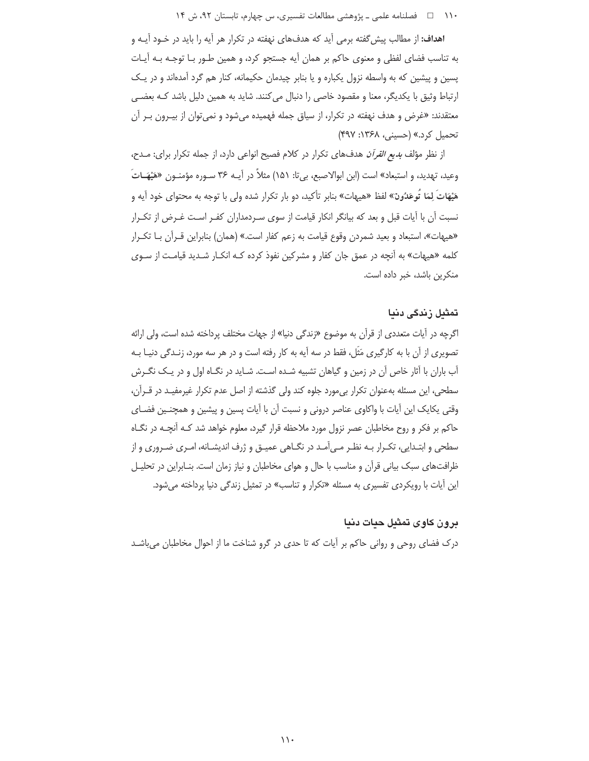۱۱۰ فصلنامه علمی ـ یژوهشی مطالعات تفسیری، س چهارم، تابستان ۹۲، ش ۱۴

**اهداف:** از مطالب پیش گفته برمی آید که هدفهای نهفته در تکرار هر آیه را باید در خـود آیــه و به تناسب فضای لفظی و معنوی حاکم بر همان آیه جستجو کرد، و همین طـور بـا توجـه بـه آیـات یسین و پیشین که به واسطه نزول یکباره و یا بنابر چیدمان حکیمانه، کنار هم گرد آمدهاند و در یـک ارتباط وثیق با یکدیگر، معنا و مقصود خاصی را دنبال می کنند. شاید به همین دلیل باشد کـه بعضـی معتقدند: «غرض و هدف نهفته در تكرار، از سیاق جمله فهمیده میشود و نمیٍتوان از بیـرون بـر آن تحمیل کرد.» (حسینی، ۱۳۶۸: ۴۹۷)

از نظر مؤلف *بدیع القرآن* هدفهای تکرار در کلام فصیح انواعی دارد، از جمله تکرار برای: مـدح، وعيد، تهديد، و استبعاد» است (ابن ابوالاصبع، بي¤: ١۵١) مثلاً در آيــه ٣۶ ســوره مؤمنــون «هَيْهَــاتَ هَيْهَاتَ لِمَا تَوعَدُونَ» لفظ «هيهات» بنابر تأكيد، دو بار تكرار شده ولي با توجه به محتواي خود آيه و نسبت آن با آیات قبل و بعد که بیانگر انکار قیامت از سوی سـردمداران کفـر اسـت غـرض از تکـرار «هیهات»، استبعاد و بعید شمردن وقوع قیامت به زعم کفار است.» (همان) بنابراین قـرآن بـا تکـرار کلمه «هیهات» به آنچه در عمق جان کفار و مشرکین نفوذ کرده کـه انکـار شـدید قیامـت از سـوی منكرين باشد، خبر داده است.

### تمثىل زندگى دنيا

اگرچه در آیات متعددی از قرآن به موضوع «زندگی دنیا» از جهات مختلف پرداخته شده است، ولی ارائه تصویری از آن با به کارگیری مَثَل، فقط در سه آیه به کار رفته است و در هر سه مورد، زنـدگی دنیـا بـه آب باران با آثار خاص آن در زمین و گیاهان تشبیه شـده اسـت. شـاید در نگـاه اول و در یـک نگـرش سطحی، این مسئله بهعنوان تکرار بیءورد جلوه کند ولی گذشته از اصل عدم تکرار غیرمفیـد در قــرأن، وقتی یکایک این آیات با واکاوی عناصر درونی و نسبت آن با آیات پسین و پیشین و همچنـین فضـای حاکم بر فکر و روح مخاطبان عصر نزول مورد ملاحظه قرار گیرد، معلوم خواهد شد کـه آنچـه در نگـاه سطحی و ابتـدایی، تکـرار بـه نظـر مـی آمـد در نگـاهی عمیـق و ژرف اندیشـانه، امـری ضـروری و از ظرافتهای سبک بیانی قرآن و مناسب با حال و هوای مخاطبان و نیاز زمان است. بنـابراین در تحلیـل این آیات با رویکردی تفسیری به مسئله «تکرار و تناسب» در تمثیل زندگی دنیا پرداخته میشود.

# برون كاوى تمثيل حيات دنيا

درک فضای روحی و روانی حاکم بر آیات که تا حدی در گرو شناخت ما از احوال مخاطبان میباشـد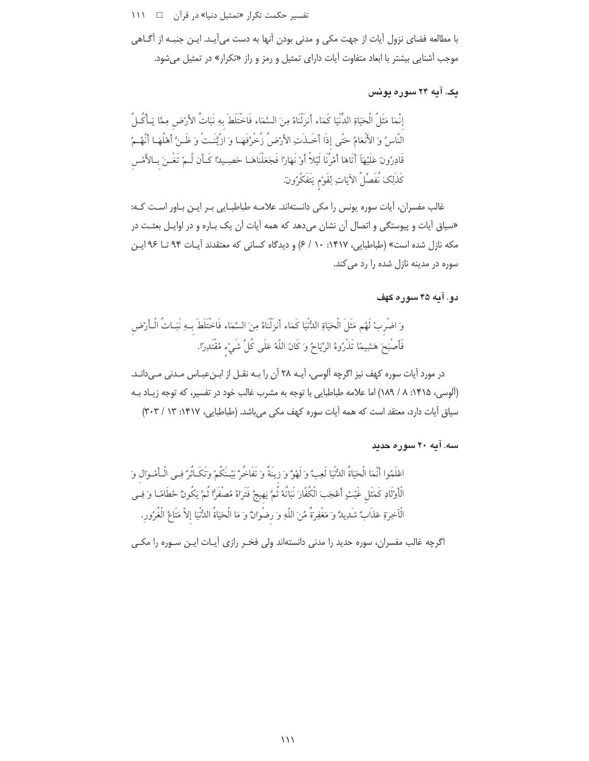تفسیر حکمت تکرار «تمثیل دنیا» در قرآن [ 1۱۱

با مطالعه فضاي نزول آيات از جهت مكي و مدنى بودن آنها به دست ميآيـد. ايـن جنبـه از آگـاهي موجب آشنایی بیشتر با ابعاد متفاوت آیات دارای تمثیل و رمز و راز «تکرار» در تمثیل میشود.

# ىک. آىه ۲۴ سورە يونس

إِنَّمَا مَثَلُ الْحَيَاةِ الدُّنْيَا كَمَاء أَنزِلْنَاهُ مِنَ السَّمَاء فَاخْتَلَطَ بِهِ نَبَاتُ الأرْض مِمَّا يَـأْكُـلُ النَّاسُ وَ الأَنْعَامُ حَتَّى إِذَا أَحَـٰذَتِ الأَرْضُ زُخْرُفَهَـا وَ ازْيَّنَـتْ وَ ظَـنَّ أَهْلُهَـا أَنَّهُـمْ قَادِرُونَ عَلَيْهَاَ أَتَاهَا أَمْرُنَا لَيْلاً أَوْ نَهَارًا فَجَعَلْنَاهَـا حَصِـيدًا كَـأَن لَـمْ تَغْـنَ بـالأمْس كَذَلِكَ نُفَصِّلُ الآيَاتِ لِقَوْمٍ يَتَفَكَّرُونَ.

غالب مفسران، آيات سوره يونس را مكي دانستهاند. علامـه طباطبـايي بـر ايـن بـاور اسـت كـه: «سیاق آیات و پیوستگی و اتصال آن نشان می دهد که همه آیات آن یک بـاره و در اوایـل بعثـت در مکه نازل شده است» (طباطبایی، ۱۴۱۷: ۱۰ / ۶) و دیدگاه کسانی که معتقدند آیـات ۹۴ تـا ۹۶ ایـن سوره در مدینه نازل شده را رد می کند.

# ده . آپه ۴۵ سوره کهف

وَ اضْرِبْ لَهُم مَثَلَ الْحَيَاةِ الدُّنْيَا كَمَاء أَنزَلْنَاهُ مِنَ السَّمَاء فَاخْتَلَطَ بِـهِ نَبَـاتُ الْـأرْض فَأَصْبَحَ هَشِيمًا تَذْرُوهُ الرِّيَاحُ وَ كَانَ اللَّهُ عَلَى كُلِّ شَيْءٍ مُقْتَدِرًا.

در مورد آيات سوره كهف نيز اگرچه آلوسي، آيــه ٢٨ آن را بــه نقــل از ابــنءبــاس مــدني مــى<انــد. (آلوسی، ۱۴۱۵: ۸ / ۱۸۹) اما علامه طباطبایی با توجه به مشرب غالب خود در تفسیر، که توجه زیـاد بـه سیاق آیات دارد، معتقد است که همه آیات سوره کهف مکی می باشد. (طباطبایی، ۱۴۱۷: ۱۳ / ۳۰۳)

# سه. آیه ۲۰ سوره حدید

اعْلَمُوا أَنَّمَا الْحَيَاةُ الدُّنْيَا لَعِبٌ وَ لَهْوٌ وَ زِينَةٌ وَ تَفَاخُرٌ بَيْـنَكُمْ وَتَكَـأْثَرٌ فِي الْـأَمْـوَالِ وَ الْأَوْلَادِ كَمَثَلِ غَيْثٍ أَعْجَبَ الْكُفَّارَ نَبَاتُهُ ثُمَّ يَهِيجُ فَتَرَاهُ مُصفْرًا ثُمَّ يَكُونُ حُطَامًا وَ فِي الْاَخِرةِ عَذَابٌ شَدِيدٌ وَ مَغْفِرَةٌ مِّنَ اللَّهِ وَ رضْوانٌ وَ مَا الْحَيَاةُ الدُّنْيَا إلاَّ مَتَاعُ الْغُرُورِ.

اگرچه غالب مفسران، سوره حدید را مدنی دانستهاند ولی فخـر رازی آیـات ایـن سـوره را مکـی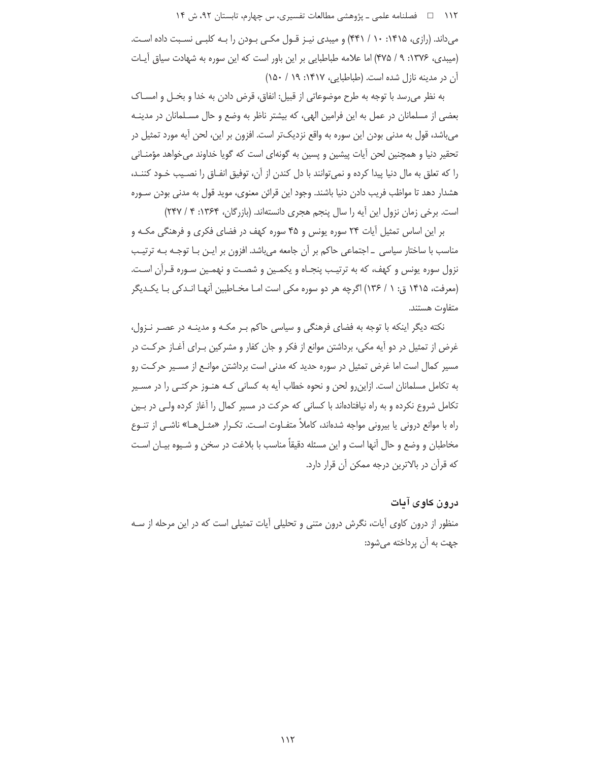۱۱۲ □ فصلنامه علمي ـ يژوهشي مطالعات تفسيري، س چهارم، تابستان ٩٢، ش ١۴

می داند. (رازی، ۱۴۱۵: ۱۰ / ۴۴۱) و میبدی نیـز قـول مکـی بـودن را بـه کلبـی نسـبت داده اسـت. (میبدی، ۱۳۷۶: ۹ / ۴۷۵) اما علامه طباطبایی بر این باور است که این سوره به شهادت سیاق آیات آن در مدینه نازل شده است. (طباطبایی، ۱۴۱۷: ۱۹/ ۱۵۰)

به نظر می رسد با توجه به طرح موضوعاتی از قبیل: انفاق، قرض دادن به خدا و بخـل و امســاک بعضی از مسلمانان در عمل به این فرامین الهی، که بیشتر ناظر به وضع و حال مسـلمانان در مدینـه می باشد، قول به مدنی بودن این سوره به واقع نزدیکتر است. افزون بر این، لحن آیه مورد تمثیل در تحقیر دنیا و همچنین لحن آیات پیشین و پسین به گونهای است که گویا خداوند می خواهد مؤمنانی را كه تعلق به مال دنيا پيدا كرده و نمي¤وانند با دل كندن از أن، توفيق انفـاق را نصـيب خـود كننـد، هشدار دهد تا مواظب فريب دادن دنيا باشند. وجود اين قرائن معنوى، مويد قول به مدنى بودن سـوره است. برخی زمان نزول این آیه را سال پنجم هجری دانستهاند. (بازرگان، ۱۳۶۴: ۴ / ۲۴۷)

بر این اساس تمثیل آیات ۲۴ سوره یونس و ۴۵ سوره کهف در فضای فکری و فرهنگی مکـه و مناسب با ساختار سیاسی \_اجتماعی حاکم بر آن جامعه می باشد. افزون بر ایـن بـا توجـه بـه ترتیـب نزول سوره یونس و کهف، که به ترتیب پنجـاه و یکمـین و شصـت و نهمـین سـوره قـرآن اسـت. (معرفت، ۱۴۱۵ ق: ۱ / ۱۳۶) اگرچه هر دو سوره مکی است امـا مخـاطبین آنهـا انـدکی بـا یکـدیگر متفاوت هستند.

نکته دیگر اینکه با توجه به فضای فرهنگی و سیاسی حاکم بـر مکـه و مدینـه در عصـر نـزول، غرض از تمثیل در دو آیه مکی، برداشتن موانع از فکر و جان کفار و مشرکین بـرای آغــاز حرکــت در مسیر کمال است اما غرض تمثیل در سوره حدید که مدنی است برداشتن موانـع از مســیر حرکـت رو به تکامل مسلمانان است. ازاین٫و لحن و نحوه خطاب آیه به کسانی کـه هنـوز حرکتـی را در مسـیر تکامل شروع نکرده و به راه نیافتادهاند با کسانی که حرکت در مسیر کمال را آغاز کرده ولـی در بـین راه با موانع درونی یا بیرونی مواجه شدهاند، کاملاً متفـاوت اسـت. تکـرار «مثـلهـا» ناشـی از تنـوع مخاطبان و وضع و حال آنها است و این مسئله دقیقاً مناسب با بلاغت در سخن و شـیوه بیـان اسـت که قرآن در بالاترین درجه ممکن آن قرار دارد.

درون کاوی آیات منظور از درون کاوی آیات، نگرش درون متنی و تحلیلی آیات تمثیلی است که در این مرحله از سـه جهت به آن پرداخته می شود: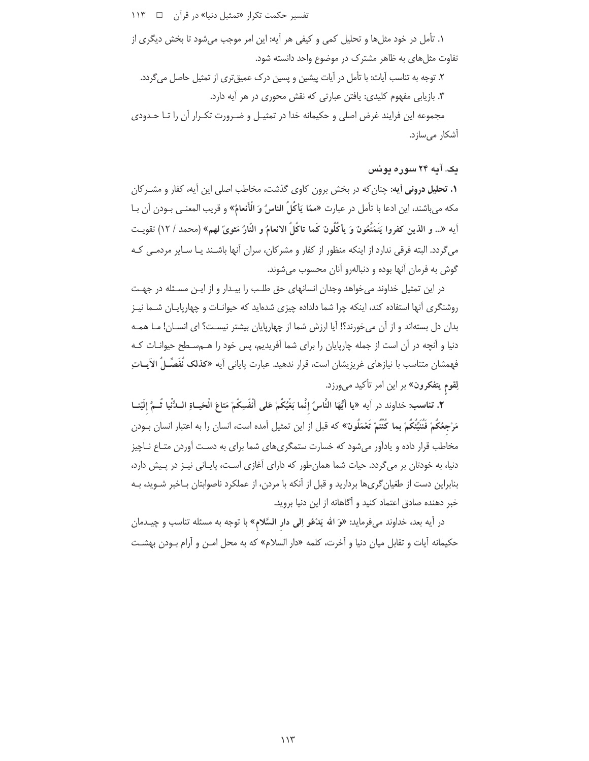تفسیر حکمت تکرار «تمثیل دنیا» در قرآن ⊥⊡  $115$ 

١. تأمل در خود مثلها و تحليل كمي و كيفي هر آيه: اين امر موجب ميشود تا بخش ديگرى از تفاوت مثل های به ظاهر مشترک در موضوع واحد دانسته شود.

۲. توجه به تناسب آیات: با تأمل در آیات پیشین و پسین درک عمیق تری از تمثیل حاصل می گردد. ۳. بازیابی مفهوم کلیدی: یافتن عبارتی که نقش محوری در هر آیه دارد.

مجموعه این فرایند غرض اصلی و حکیمانه خدا در تمثیـل و ضـرورت تکـرار آن را تـا حـدودی آشكار مىسازد.

## یک. آیه ۲۴ سوره یونس

**۱. تحلیل درونی آیه:** چنان که در بخش برون کاوی گذشت، مخاطب اصلی این آیه، کفار و مشــرکان مكه ميباشند، اين ادعا با تأمل در عبارت «ممّا يَأكُلُ الناسُ وَ الْأَنعامُ» و قريب المعنـي بـودن أن بـا أيه «.. و الذين كفروا يَتَمَتَّعُونَ وَ يأكُلُونَ كَما تاكُلُ الانعامُ و النّارُ مَثوىً لهم» (محمد / ١٢) تقويت می گردد. البته فرقی ندارد از اینکه منظور از کفار و مشرکان، سران آنها باشـند یـا سـایر مردمـی کـه گوش به فرمان آنها بوده و دنبالهرو آنان محسوب می شوند.

در این تمثیل خداوند میخواهد وجدان انسانهای حق طلب را بیـدار و از ایـن مسـئله در جهـت روشنگری آنها استفاده کند، اینکه چرا شما دلداده چیزی شدهاید که حیوانـات و چهارپایـان شـما نیـز بدان دل بستهاند و از آن میخورند؟! آیا ارزش شما از چهارپایان بیشتر نیسـت؟ ای انســان! مــا همــه دنیا و آنچه در آن است از جمله چارپایان را برای شما آفریدیم، پس خود را هــهسـطح حیوانــات کــه فهمشان متناسب با نیازهای غریزیشان است، قرار ندهید. عبارت پایانی آیه «کذلک نُفَصِّـلُ الآیــاتِ لِقوم يتفكرون» بر اين امر تأكيد مىورزد.

٢. تناسب: خداوند در اَيه «يا أَيُّهَا النَّاسُ إنَّما بَغْيُكُمْ عَلى أَنْفُسِكُمْ مَتاعَ الْحَيـاةِ الـدُّنْيا ثُــمَّ إلَيْنــا مَرْجِعُكُمْ فَنُنَبِّئُكُمْ بِما كُنْتُمْ تَعْمَلُونَ» كه قبل از اين تمثيل أمده است، انسان را به اعتبار انسان بــودن مخاطب قرار داده و یادآور می شود که خسارت ستمگری های شما برای به دست آوردن متـاع نـاچیز دنیا، به خودتان بر می گردد. حیات شما همان طور که دارای آغازی است، پایـانی نیـز در پـیش دارد، بنابراین دست از طغیان گریها بردارید و قبل از آنکه با مردن، از عملکرد ناصوابتان بـاخبر شـوید، بـه خبر دهنده صادق اعتماد كنيد و آگاهانه از اين دنيا برويد.

در آيه بعد، خداوند ميفرمايد: «وَ الله يَدْعُو اِلى دار السَّلام» با توجه به مسئله تناسب و چيـدمان حكيمانه آيات و تقابل ميان دنيا و آخرت، كلمه «دار السلام» كه به محل امـن و آرام بـودن بهشـت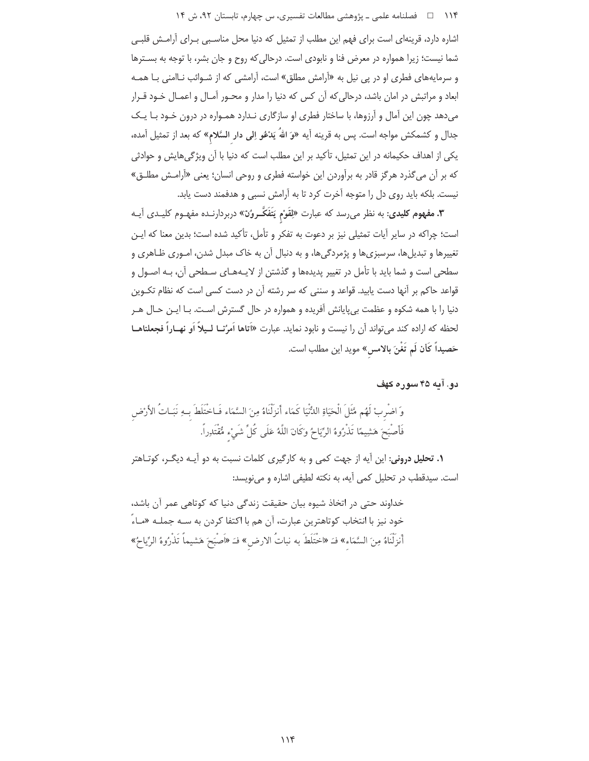۱۱۴ فصلنامه علمي ـ یژوهشي مطالعات تفسیري، س چهارم، تابستان ۹۲، ش ۱۴

اشاره دارد، قرینهای است برای فهم این مطلب از تمثیل که دنیا محل مناسبی بـرای آرامـش قلبـی شما نیست؛ زیرا همواره در معرض فنا و نابودی است. درحالی که روح و جان بشر، با توجه به بسترها و سرمایههای فطری او در پی نیل به «آرامش مطلق» است، آرامشی که از شـوائب نـاامنی بـا همـه ابعاد و مراتبش در امان باشد، درحالی که آن کس که دنیا را مدار و محـور آمـال و اعمـال خـود قـرار میدهد چون این آمال و آرزوها، با ساختار فطری او سازگاری نـدارد همـواره در درون خـود بـا یـک جدال و کشمکش مواجه است. پس به قرینه آیه «وَ اللهُ یَدْعُو اِلی دار السَّلام» که بعد از تمثیل آمده، یکی از اهداف حکیمانه در این تمثیل، تأکید بر این مطلب است که دنیا با آن ویژگیهایش و حوادثی که بر آن می گذرد هرگز قادر به برآوردن این خواسته فطری و روحی انسان؛ یعنی «آرامـش مطلـق» نیست. بلکه باید روی دل را متوجه آخرت کرد تا به آرامش نسبی و هدفمند دست یابد.

**۳. مفهوم کلیدی**: به نظر می,رسد که عبارت «لِقَوْم يَتَفَکَّـروُنَ» دربردارنــده مفهـوم کلیــدی آیــه است؛ چراکه در سایر آیات تمثیلی نیز بر دعوت به تفکر و تأمل، تأکید شده است؛ بدین معنا که ایـن تغییرها و تبدیلها، سرسبزیها و پژمردگیها، و به دنبال آن به خاک مبدل شدن، امـوری ظـاهری و سطحی است و شما باید با تأمل در تغییر پدیدهها و گذشتن از لایـههـای سـطحی آن، بـه اصـول و قواعد حاکم بر آنها دست یابید. قواعد و سننی که سر رشته آن در دست کسی است که نظام تکـوین دنیا را با همه شکوه و عظمت بی پایانش آفریده و همواره در حال گسترش است. بـا ایـن حـال هـر لحظه که اراده کند میتواند آن را نیست و نابود نماید. عبارت «اَتاها اَمرُنـا لـیلاً اَو نهـاراً فجعلناهـا حَصيداً كَأن لَم تَغْنَ بالامس» مويد اين مطلب است.

دو. آيه ۴۵ سوره کهف

وَ اصْرِبْ لَهُم مَّثَلَ الْحَيَاةِ اللُّنْيَا كَمَاء أَنزَلْنَاهُ مِنَ السَّمَاء فَـاخْتَلَطَ بِـهِ نَبَـاتُ الأرْض فَأَصْبَحَ هَشِيمًا تَذْرُوهُ الرِّيَاحُ وكَانَ اللَّهُ عَلَى كُلِّ شَيْءٍ مُّقْتَدِراً.

**۱. تحلیل درونی**: این آیه از جهت کمی و به کارگیری کلمات نسبت به دو آیـه دیگـر، کوتـاهتر است. سیدقطب در تحلیل کمی آیه، به نکته لطیفی اشاره و می نویسد:

خداوند حتی در اتخاذ شیوه بیان حقیقت زندگی دنیا که کوتاهی عمر آن باشد، خود نيز با انتخاب كوتاهترين عبارت، آن هم با اكتفا كردن به ســه جملــه «مــاءً أَنزِلْنَاهُ مِنَ السَّمَاء» فـَـ «اخْتَلَطَ به نباتُ الارض » فــَ «اَصْبَحَ هَشيماً تَذْرُوهُ الرِّياحُ»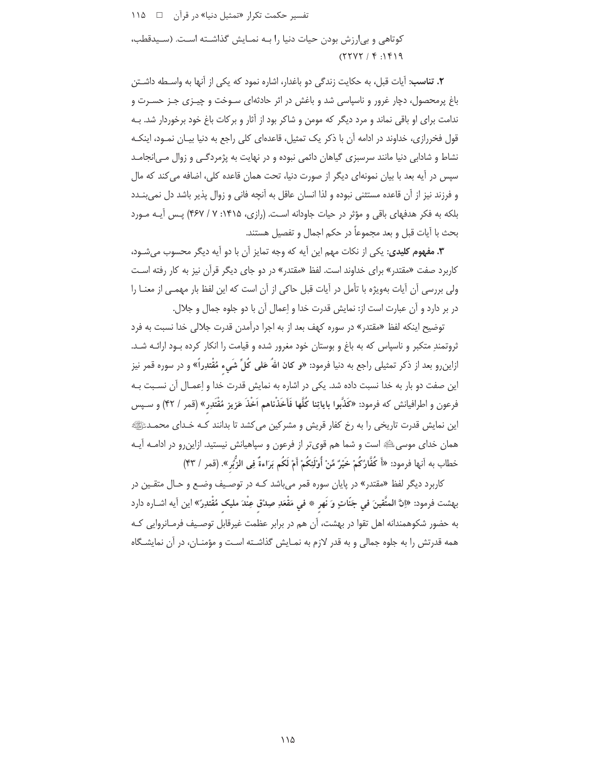تفسیر حکمت تکرا, «تمثیل دنیا» در قرآن د ۱۱۵ کوتاهی و بی ارزش بودن حیات دنیا را بـه نمـایش گذاشـته اسـت. (سـیدقطب،  $(111.76)$ 

٢. تناسب: آيات قبل، به حكايت زندگي دو باغدار، اشاره نمود كه يكي از آنها به واسطه داشـتن باغ پرمحصول، دچار غرور و ناسیاسی شد و باغش در اثر حادثهای سـوخت و چیـزی جـز حسـرت و ندامت برای او باقی نماند و مرد دیگر که مومن و شاکر بود از آثار و برکات باغ خود برخوردار شد. بـه قول فخررازی، خداوند در ادامه آن با ذکر یک تمثیل، قاعدهای کلی راجع به دنیا بیـان نمـود، اینکـه نشاط و شادابی دنیا مانند سرسبزی گیاهان دائمی نبوده و در نهایت به پژمردگی و زوال مـی|نجامـد سیس در آیه بعد با بیان نمونهای دیگر از صورت دنیا، تحت همان قاعده کلی، اضافه می کند که مال و فرزند نیز از أن قاعده مستثنی نبوده و لذا انسان عاقل به أنچه فانی و زوال پذیر باشد دل نمیبنــدد بلکه به فکر هدفهای باقی و مؤثر در حیات جاودانه است. (رازی، ۱۴۱۵: ۷ / ۴۶۷) پـس آیـه مـورد بحث با آيات قبل و بعد مجموعاً در حكم اجمال و تفصيل هستند.

**۳. مفهوم کلیدی:** یکی از نکات مهم این آیه که وجه تمایز آن با دو آیه دیگر محسوب میشـود، کاربرد صفت «مقتدر» برای خداوند است. لفظ «مقتدر» در دو جای دیگر قرآن نیز به کار رفته است ولی بررسی آن آیات بهویژه با تأمل در آیات قبل حاکی از آن است که این لفظ بار مهمـی از معنــا را در بر دارد و آن عبارت است از: نمایش قدرت خدا و اِعمال آن با دو جلوه جمال و جلال.

توضیح اینکه لفظ «مقتدر» در سوره کهف بعد از به اجرا درآمدن قدرت جلالی خدا نسبت به فرد ثروتمندِ متكبر و ناسپاس كه به باغ و بوستان خود مغرور شده و قيامت را انكار كرده بـود ارائـه شـد. ازاین٫و بعد از ذکر تمثیلی ٫اجع به دنیا فرمود: «و کان اللهُ عَلی کُلِّ شَیء مُقْتدِراً» و در سوره قمر نیز این صفت دو بار به خدا نسبت داده شد. یکی در اشاره به نمایش قدرت خدا و اِعمـال آن نسـبت بـه فرعون و اطرافیانش که فرمود: «کَذَّبوا بایاتِنا کُلَّها فَأَخَذْناهم اَخْذَ عَزیز مُقْتَدِر» (قمر / ۴۲) و سـپس این نمایش قدرت تاریخی را به رخ کفار قریش و مشرکین می کشد تا بدانند کـه خـدای محمـدﷺ همان خدای موسی ﷺ است و شما هم قویتر از فرعون و سیاهیانش نیستید. ازاین و در ادامـه آیـه خطاب به اّنها فرمود: «أَ كُفَّارُكُمْ خَيْرٌ مِّنْ أُوْلَئِكُمْ أَمْ لَكُم بَرَاءةً فِي الزُّبُرِ». (قمر / ۴۳)

کاربرد دیگر لفظ «مقتدر» در پایان سوره قمر می باشد کـه در توصـیف وضـع و حـال متقـین در بهشت فرمود: «إنَّ المتَّقينَ في جَنَّاتٍ وَ نَهر \* في مَقْعَدِ صِدْقٍ عِنْدَ مليک مُقْتدِرً» اين أيه اشــاره دارد به حضور شکوهمندانه اهل تقوا در بهشت، آن هم در برابر عظمت غیرقابل توصیف فرمـانروایی کـه همه قدرتش را به جلوه جمالی و به قدر لازم به نمـایش گذاشـته اسـت و مؤمنـان، در آن نمایشـگاه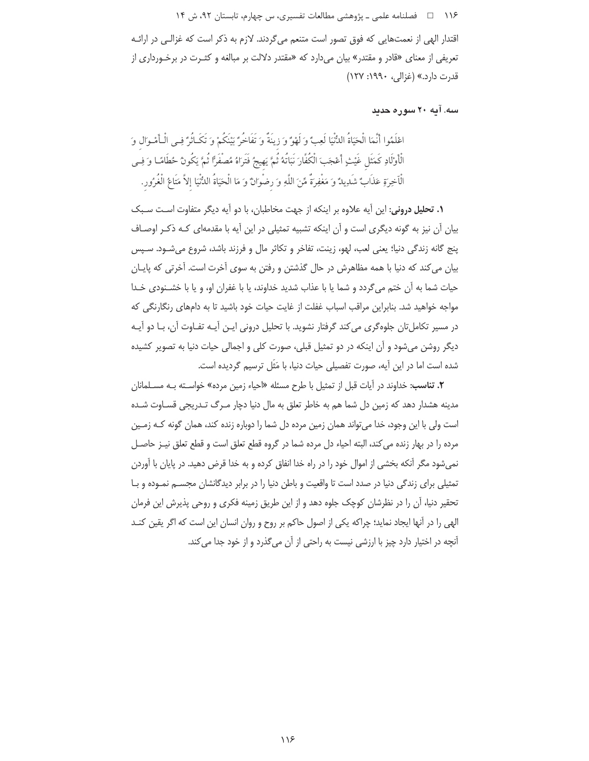۱۱۶ □ فصلنامه علمي ـ يژوهشي مطالعات تفسيري، س چهارم، تابستان ٩٢، ش ١۴

اقتدار الهی از نعمتهایی که فوق تصور است متنعم میگردند. لازم به ذکر است که غزالـی در ارائـه تعریفی از معنای «قادر و مقتدر» بیان میدارد که «مقتدر دلالت بر مبالغه و کثـرت در برخـورداری از قدرت دارد.» (غزالي، ۱۹۹۰: ۱۲۷)

سه. آیه ۲۰ سوره حدید

اعْلَمُوا أَنَّمَا الْحَيَاةُ اللُّنْيَا لَعِبٌ وَلَهْوٌ وَ زِينَةٌ وَ تَفَاخُرٌ يَبْنَكُمْ وَ تَكَـأْثَرٌ فِي الْبِأَمْـوَالِ وَ الْأَوْلَادِ كَمَثَلِ غَيْثٍ أَعْجَبَ الْكُفَّارَ نَبَاتُهُ ثُمَّ يَهِيجُ فَتَرَاهُ مُصفَرًّا ثُمَّ يَكُونُ حُطَامًا وَ فِي الْاَخِرةِ عَذَابٌ شَدِيدٌ وَ مَغْفِرَةٌ مِّنَ اللَّهِ وَ رضْوانٌ وَ مَا الْحَيَاةُ الدُّنْيَا إلاَّ مَتَاعُ الْغُرُور.

**۱. تحلیل درونی:** این آیه علاوه بر اینکه از جهت مخاطبان، با دو آیه دیگر متفاوت است سبک بیان آن نیز به گونه دیگری است و آن اینکه تشبیه تمثیلی در این آیه با مقدمهای کـه ذکـر اوصـاف پنج گانه زندگی دنیا؛ یعنی لعب، لهو، زینت، تفاخر و تکاثر مال و فرزند باشد، شروع میشود. سپس بیان می کند که دنیا با همه مظاهرش در حال گذشتن و رفتن به سوی آخرت است. آخرتی که پایـان حيات شما به آن ختم مي گردد و شما يا با عذاب شديد خداوند، يا با غفران او، و يا با خشـنودي خـدا مواجه خواهید شد. بنابراین مراقب اسباب غفلت از غایت حیات خود باشید تا به دامهای رنگارنگی که در مسیر تکاملتان جلوهگری می کند گرفتار نشوید. با تحلیل درونی ایـن آیـه تفـاوت آن، بـا دو آیـه دیگر روشن می شود و آن اینکه در دو تمثیل قبلی، صورت کلی و اجمالی حیات دنیا به تصویر کشیده شده است اما در این آیه، صورت تفصیلی حیات دنیا، با مَثَل ترسیم گردیده است.

**٢. تناسب:** خداوند در اَيات قبل از تمثيل با طرح مسئله «احياء زمين مرده» خواسـته بــه مســلمانان مدینه هشدار دهد که زمین دل شما هم به خاطر تعلق به مال دنیا دچار مـرگ تـدریجی قسـاوت شـده است ولی با این وجود، خدا میتواند همان زمین مرده دل شما را دوباره زنده کند، همان گونه کـه زمـین مرده را در بهار زنده می کند، البته احیاء دل مرده شما در گروه قطع تعلق است و قطع تعلق نیـز حاصـل نمی شود مگر آنکه بخشی از اموال خود را در راه خدا انفاق کرده و به خدا قرض دهید. در پایان با آوردن تمثیلی برای زندگی دنیا در صدد است تا واقعیت و باطن دنیا را در برابر دیدگانشان مجســم نمـوده و بـا تحقیر دنیا، آن را در نظرشان کوچک جلوه دهد و از این طریق زمینه فکری و روحی پذیرش این فرمان الهی ,را در آنها ایجاد نماید؛ چراکه یکی از اصول حاکم بر روح و روان انسان این است که اگر یقین کنـد آنچه در اختیار دارد چیز با ارزشی نیست به راحتی از آن می گذرد و از خود جدا می کند.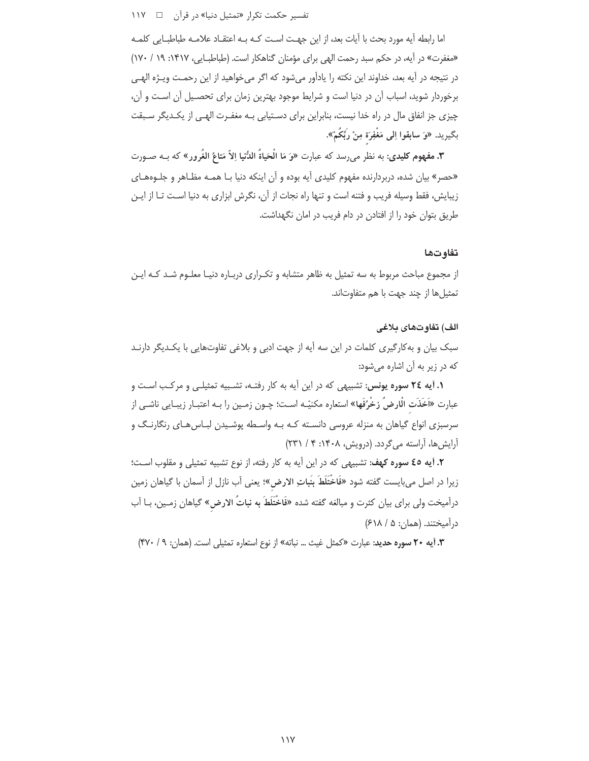تفسیر حکمت تکرار «تمثیل دنیا» در قرآن ۔ 11۷

اما رابطه آیه مورد بحث با آیات بعد، از این جهـت اسـت کـه بـه اعتقـاد علامـه طباطبـایی کلمـه «مغفرت» در آیه، در حکم سبد رحمت الهی برای مؤمنان گناهکار است. (طباطبـایی، ۱۴۱۷: ۱۹ / ۱۷۰) در نتيجه در آيه بعد، خداوند اين نكته را يادآور مي شود كه اگر مي خواهيد از اين رحمـت ويـژه الهـي برخوردار شويد، اسباب آن در دنيا است و شرايط موجود بهترين زمان براي تحصـيل آن اسـت و آن، چیزی جز انفاق مال در راه خدا نیست، بنابراین برای دستیابی بـه مغفـرت الهـی از یکـدیگر سـبقت بِكِيرِيدِ. «وَ سابِقُوا اِلِي مَغْفِرَة مِنْ رَبِّكُمْ».

**٣. مفهوم کلیدی**: به نظر می,رسد که عبارت «وَ مَا الْحَياةُ اللُّنيا اِلاّ مَتاعُ الغُرور» که بـه صـورت «حصر» بیان شده، دربردارنده مفهوم کلیدی آیه بوده و آن اینکه دنیا بـا همـه مظـاهر و جلـوههـای زیبایش، فقط وسیله فریب و فتنه است و تنها راه نجات از آن، نگرش ابزاری به دنیا است تـا از ایـن طريق بتوان خود را از افتادن در دام فريب در امان نگهداشت.

#### تفاوتها

از مجموع مباحث مربوط به سه تمثیل به ظاهر متشابه و تکـراری دربـاره دنیـا معلـوم شـد کـه ایـن تمثيل ها از چند جهت با هم متفاوتاند.

#### الف) تفاوتهاى بلاغى

سبک بیان و به کارگیری کلمات در این سه آیه از جهت ادبی و بلاغی تفاوتهایی با یکـدیگر دارنـد که در زیر به آن اشاره میشود:

**۱. آیه ۲۶ سوره یونس:** تشبیهی که در این آیه به کار رفتـه، تشـبیه تمثیلـی و مرکـب اسـت و عبارت «اَخَذَت الْارضُ زخْرُفَها» استعاره مكنيّـه اسـت؛ چـون زمـين را بـه اعتبـار زيبـايي ناشـي از سرسبزی انواع گیاهان به منزله عروسی دانسـته کـه بـه واسـطه پوشـیدن لبـاس هـای رنگارنـگ و آرایش ها، آراسته میگردد. (درویش، ۱۴۰۸: ۴ / ۲۳۱)

٢. آيه ٤٥ سوره كهف: تشبيهي كه در اين أيه به كار رفته، از نوع تشبيه تمثيلي و مقلوب است؛ زيرا در اصل مي!يست گفته شود «فَاخْتَلَطَ بِنَباتِ الارض»؛ يعني آب نازل از آسمان با گياهان زمين درآمیخت ولی برای بیان کثرت و مبالغه گفته شده «فَاخْتَلَطَ به نباتُ الارض» گیاهان زمـین، بـا آب درآمیختند. (همان: ۵ / ۶۱۸)

**٣.** آيه ٢٠ سوره حديد: عبارت «كمثل غيث ... نباته» از نوع استعاره تمثيلي است. (همان: ٩ / ٣٧٠)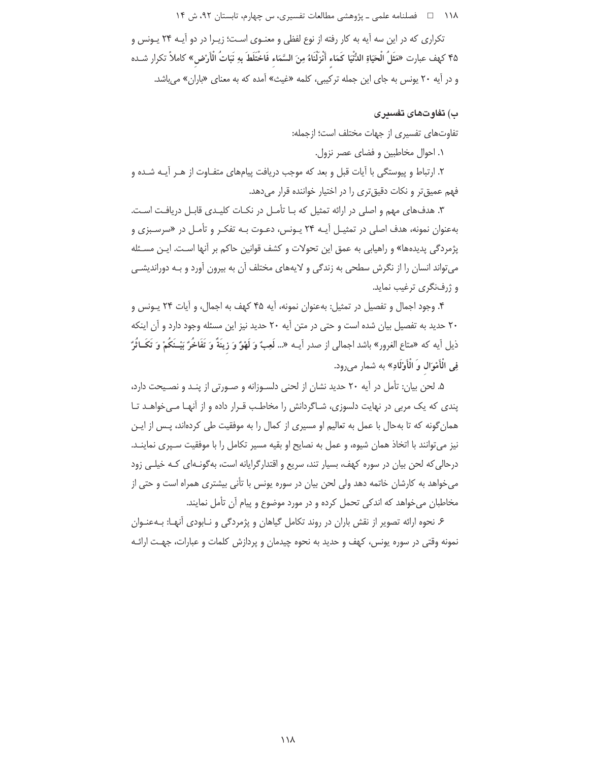۱۱۸ هـ فصلنامه علمي ـ پژوهشي مطالعات تفسيري، س چهارم، تابستان ۹۲، ش ۱۴

تکراری که در این سه آیه به کار رفته از نوع لفظی و معنـوی اسـت؛ زیـرا در دو آیــه ۲۴ پـونس و ۴۵ كهف عبارت «مَثَلُ الْحَيَاةِ الدُّنْيَا كَمَاء أَنْزِلْنَاهُ مِنَ السَّمَاء فَاخْتَلَطَ بِهِ نَبَاتُ الْأَرْض » كاملأ تكرار شـده و در آیه ۲۰ یونس به جای این جمله ترکیبی، کلمه «غیث» آمده که به معنای «باران» می باشد.

### ب) تفاوتهای تفسری

تفاوتهای تفسیری از جهات مختلف است؛ ازجمله:

١. احوال مخاطبين و فضاى عصر نزول.

۲. ارتباط و پیوستگی با آیات قبل و بعد که موجب دریافت پیامهای متفـاوت از هـر آیـه شـده و فهم عمیقتر و نکات دقیقتری را در اختیار خواننده قرار میدهد.

۳. هدفهای مهم و اصلی در ارائه تمثیل که بـا تأمـل در نکـات کلیـدی قابـل دریافـت اسـت. بهعنوان نمونه، هدف اصلی در تمثیـل آیـه ۲۴ یـونس، دعـوت بـه تفکـر و تأمـل در «سرسـبزی و پژمردگی پدیدهها» و راهیابی به عمق این تحولات و کشف قوانین حاکم بر آنها است. ایـن مسـئله می تواند انسان را از نگرش سطحی به زندگی و لایههای مختلف آن به بیرون آورد و بـه دوراندیشـی و ژرفنگری ترغیب نماید.

۴. وجود اجمال و تفصیل در تمثیل: بهعنوان نمونه، آیه ۴۵ کهف به اجمال، و آیات ۲۴ یـونس و ٢٠ حديد به تفصيل بيان شده است و حتى در متن آيه ٢٠ حديد نيز اين مسئله وجود دارد و آن اينكه ذيل آيه كه «متاع الغرور» باشد اجمالي از صدر آيــه «... لَعِبٌ وَ لَهْوٌ وَ زِينَةٌ وَ تَفَاخُرٌ بَيْـنَكُمْ وَ تَكَــاثُرٌ ۖ فِي الْأَمْوَال وَ الْأَوْلَادِ» به شمار مىرود.

۵. لحن بیان: تأمل در آیه ۲۰ حدید نشان از لحنی دلسـوزانه و صـورتی از پنـد و نصـیحت دارد، یندی که یک مربی در نهایت دلسوزی، شـاگردانش را مخاطـب قـرار داده و از آنهـا مـی خواهـد تـا همان گونه که تا بهحال با عمل به تعالیم او مسیری از کمال را به موفقیت طی کردهاند، پـس از ایـن نیز می توانند با اتخاذ همان شیوه، و عمل به نصایح او بقیه مسیر تکامل را با موفقیت سـپری نماینـد. درحالی که لحن بیان در سوره کهف، بسیار تند، سریع و اقتدار گرایانه است، به گونـهای کـه خیلـی زود می خواهد به کارشان خاتمه دهد ولی لحن بیان در سوره یونس با تأنی بیشتری همراه است و حتی از مخاطبان می خواهد که اندکی تحمل کرده و در مورد موضوع و پیام آن تأمل نمایند.

۶ نحوه ارائه تصویر از نقش باران در روند تکامل گیاهان و پژمردگی و نـابودی آنهـا: بـهعنـوان نمونه وقتی در سوره یونس، کهف و حدید به نحوه چیدمان و پردازش کلمات و عبارات، جهت ارائـه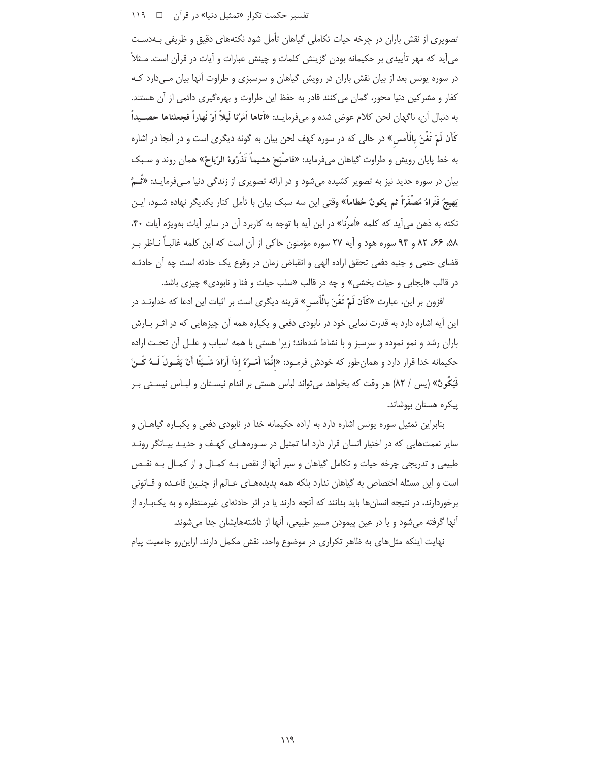### تفسیر حکمت تکرار «تمثیل دنیا» در قرآن د ۱۱۹

تصویری از نقش باران در چرخه حیات تکاملی گیاهان تأمل شود نکتههای دقیق و ظریفی بـهدسـت می آید که مهر تأییدی بر حکیمانه بودن گزینش کلمات و چینش عبارات و آیات در قرآن است. مـثلاً در سوره یونس بعد از بیان نقش باران در رویش گیاهان و سرسبزی و طراوت آنها بیان مهیدارد ک كفار و مشركين دنيا محور، گمان مي كنند قادر به حفظ اين طراوت و بهرهگيري دائمي از آن هستند. به دنبال أن، ناگهان لحن كلام عوض شده و مىفرمايـد: «اَتاها اَمْرُنا لَيلاً اَوْ نَهاراً فجعلناها حصـيداً كَأَن لَمْ تَغْنَ بِالْأَمسِ» در حالي كه در سوره كهف لحن بيان به گونه ديگرى است و در آنجا در اشاره به خط پایان رویش و طراوت گیاهان میفرماید: «فاصْبَحَ هشیماً تَذْرُوهُ الرّیاحُ» همان روند و سـبک بیان در سوره حدید نیز به تصویر کشیده میشود و در ارائه تصویری از زندگی دنیا مـیفرمایـد: «تُــمّ يَهيجُ فَتَراهُ مُصْفَرَاً ثم يكونٌ حُطاماً» وقتى اين سه سبک بيان با تأمل کنار يکديگر نهاده شــود، ايــن نکته به ذهن می آید که کلمه «اَمرُنا» در این آیه با توجه به کاربرد آن در سایر آیات بهویژه آیات ۴۰، ۵۸، ۶۶، ۸۲ و ۹۴ سوره هود و آیه ۲۷ سوره مؤمنون حاکی از آن است که این کلمه غالباً نـاظر بـر قضاى حتمى و جنبه دفعى تحقق اراده الهى و انقباض زمان در وقوع يک حادثه است چه آن حادثـه در قالب «ايجابي و حيات بخشي» و چه در قالب «سلب حيات و فنا و نابودي» چيزي باشد.

افزون بر این، عبارت «کأن لَمْ تَغْنَ بِالْأَمس» قرینه دیگری است بر اثبات این ادعا که خداونـد در این آیه اشاره دارد به قدرت نمایی خود در نابودی دفعی و یکباره همه آن چیزهایی که در اثـر بـارش باران رشد و نمو نموده و سرسبز و با نشاط شدهاند؛ زیرا هستی با همه اسباب و علـل آن تحـت اراده حكيمانه خدا قرار دارد و همانطور كه خودش فرمـود: «إنَّمَا أَسْـرُهُ إذَا أَرَادَ شَــيْئًا أَنْ يَقُــولَ لَــهُ كُــنْ فَيَكُونٌ» (يس / ٨٢) هر وقت كه بخواهد مي تواند لباس هستي بر اندام نيسـتان و لبــاس نيسـتي بــر ييكره هستان بيوشاند.

بنابراین تمثیل سوره یونس اشاره دارد به اراده حکیمانه خدا در نابودی دفعی و یکبـاره گیاهـان و سایر نعمتهایی که در اختیار انسان قرار دارد اما تمثیل در سورههای کهف و حدیـد بیـانگر رونـد طبیعی و تدریجی چرخه حیات و تکامل گیاهان و سیر آنها از نقص بـه کمـال و از کمـال بـه نقـص است و این مسئله اختصاص به گیاهان ندارد بلکه همه پدیدههـای عـالم از چنـین قاعـده و قـانونی برخوردارند، در نتیجه انسانها باید بدانند که آنچه دارند یا در اثر حادثهای غیرمنتظره و به یک باره از آنها گرفته میشود و یا در عین پیمودن مسیر طبیعی، آنها از داشتههایشان جدا میشوند.

نهایت اینکه مثلهای به ظاهر تکراری در موضوع واحد، نقش مکمل دارند. ازاین٫رو جامعیت پیام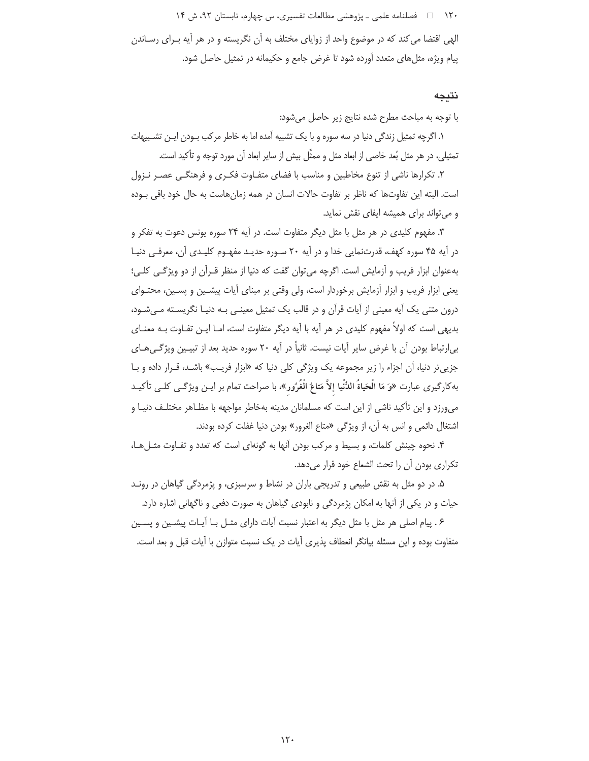۱۲۰ فصلنامه علمی \_ یژوهشی مطالعات تفسیری، س چهارم، تابستان ۹۲، ش ۱۴

الهی اقتضا می کند که در موضوع واحد از زوایای مختلف به آن نگریسته و در هر آیه بـرای رسـاندن پیام ویژه، مثلهای متعدد آورده شود تا غرض جامع و حکیمانه در تمثیل حاصل شود.

#### نتىجە

با توجه به مباحث مطرح شده نتايج زير حاصل مى شود:

۱. اگرچه تمثیل زندگی دنیا در سه سوره و با یک تشبیه آمده اما به خاطر مرکب بـودن ایـن تشـبیهات تمثيلي، در هر مثل بُعد خاصي از ابعاد مثل و ممثَّل بيش از ساير ابعاد آن مورد توجه و تأكيد است.

۲. تکرارها ناشی از تنوع مخاطبین و مناسب با فضای متفـاوت فکـری و فرهنگـی عصـر نـزول است. البته این تفاوتها که ناظر بر تفاوت حالات انسان در همه زمانهاست به حال خود باقی بـوده و می تواند برای همیشه ایفای نقش نماید.

۳. مفهوم کلیدی در هر مثل با مثل دیگر متفاوت است. در آیه ۲۴ سوره یونس دعوت به تفکر و در آیه ۴۵ سوره کهف، قدرتنمایی خدا و در آیه ۲۰ سـوره حدیـد مفهـوم کلیـدی آن، معرفـی دنیـا بهعنوان ابزار فريب و آزمايش است. اگرچه مي توان گفت كه دنيا از منظر قـرآن از دو ويژگـي كلـي؛ یعنی ابزار فریب و ابزار آزمایش برخوردار است، ولی وقتی بر مبنای آیات پیشـین و پسـین، محتـوای درون متنی یک آیه معینی از آیات قرآن و در قالب یک تمثیل معینـی بـه دنیـا نگریسـته مـی شـود، بدیهی است که اولاً مفهوم کلیدی در هر آیه با آیه دیگر متفاوت است، امـا ایـن تفـاوت بـه معنـای بی|رتباط بودن آن با غرض سایر آیات نیست. ثانیاً در آیه ۲۰ سوره حدید بعد از تبیـین ویژگـیِهـای جزی<sub>ی</sub> تر دنیا، آن اجزاء را زیر مجموعه یک ویژگی کلی دنیا که «ابزار فریب» باشـد، قـرار داده و بـا به كارگيري عبارت «وَ مَا الْحَياةُ اللُّنْيا إلاَّ مَتاعُ الْغُرُور»، با صراحت تمام بر ايـن ويژگـي كلـي تأكيـد می,ورزد و این تأکید ناشی از این است که مسلمانان مدینه بهخاطر مواجهه با مظـاهر مختلـف دنیـا و اشتغال دائمي و انس به آن، از ويژگي «متاع الغرور» بودن دنيا غفلت كرده بودند.

۴. نحوه چینش کلمات، و بسیط و مرکب بودن آنها به گونهای است که تعدد و تفـاوت مثـل هـا، تكراري بودن أن را تحت الشعاع خود قرار مي دهد.

۵. در دو مثل به نقش طبیعی و تدریجی باران در نشاط و سرسبزی، و پژمردگی گیاهان در رونـد حیات و در یکی از آنها به امکان پژمردگی و نابودی گیاهان به صورت دفعی و ناگهانی اشاره دارد.

۶ . پیام اصلی هر مثل با مثل دیگر به اعتبار نسبت آیات دارای مثـل بـا آیـات پیشـین و پسـین متفاوت بوده و این مسئله بیانگر انعطاف پذیری آیات در یک نسبت متوازن با آیات قبل و بعد است.